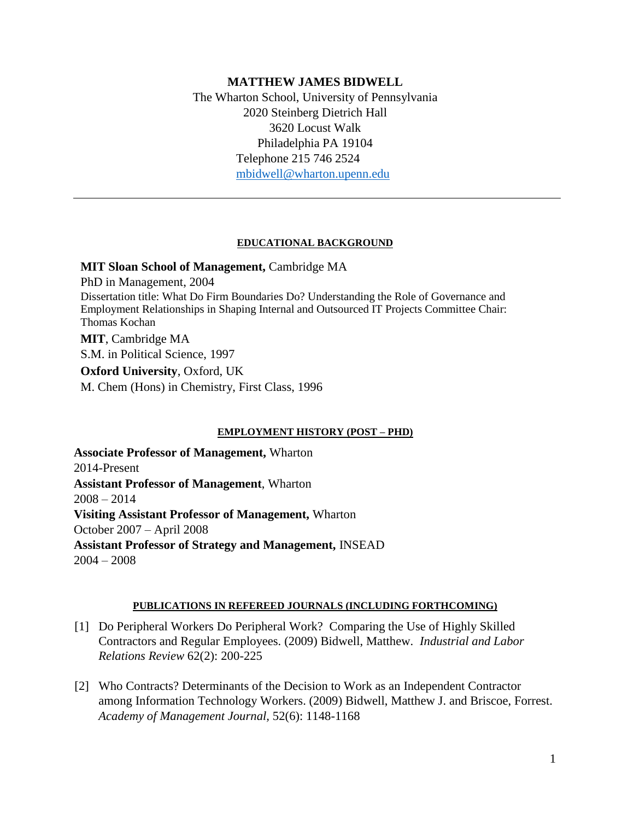## **MATTHEW JAMES BIDWELL**

The Wharton School, University of Pennsylvania 2020 Steinberg Dietrich Hall 3620 Locust Walk Philadelphia PA 19104 Telephone 215 746 2524 [mbidwell@wharton.upenn.edu](mailto:mbidwell@wharton.upenn.edu)

### **EDUCATIONAL BACKGROUND**

**MIT Sloan School of Management,** Cambridge MA PhD in Management, 2004 Dissertation title: What Do Firm Boundaries Do? Understanding the Role of Governance and Employment Relationships in Shaping Internal and Outsourced IT Projects Committee Chair: Thomas Kochan **MIT**, Cambridge MA S.M. in Political Science, 1997 **Oxford University**, Oxford, UK

M. Chem (Hons) in Chemistry, First Class, 1996

### **EMPLOYMENT HISTORY (POST – PHD)**

**Associate Professor of Management,** Wharton 2014-Present **Assistant Professor of Management**, Wharton  $2008 - 2014$ **Visiting Assistant Professor of Management,** Wharton October 2007 – April 2008 **Assistant Professor of Strategy and Management,** INSEAD 2004 – 2008

#### **PUBLICATIONS IN REFEREED JOURNALS (INCLUDING FORTHCOMING)**

- [1] Do Peripheral Workers Do Peripheral Work? Comparing the Use of Highly Skilled Contractors and Regular Employees. (2009) Bidwell, Matthew. *Industrial and Labor Relations Review* 62(2): 200-225
- [2] Who Contracts? Determinants of the Decision to Work as an Independent Contractor among Information Technology Workers. (2009) Bidwell, Matthew J. and Briscoe, Forrest. *Academy of Management Journal,* 52(6): 1148-1168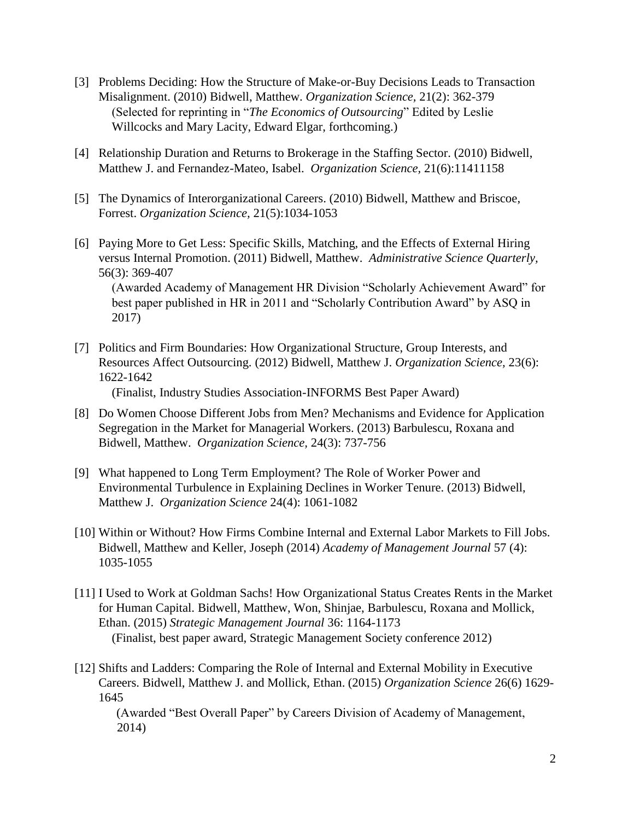- [3] Problems Deciding: How the Structure of Make-or-Buy Decisions Leads to Transaction Misalignment. (2010) Bidwell, Matthew. *Organization Science,* 21(2): 362-379 (Selected for reprinting in "*The Economics of Outsourcing*" Edited by Leslie Willcocks and Mary Lacity, Edward Elgar, forthcoming.)
- [4] Relationship Duration and Returns to Brokerage in the Staffing Sector. (2010) Bidwell, Matthew J. and Fernandez-Mateo, Isabel. *Organization Science,* 21(6):11411158
- [5] The Dynamics of Interorganizational Careers. (2010) Bidwell, Matthew and Briscoe, Forrest. *Organization Science,* 21(5):1034-1053
- [6] Paying More to Get Less: Specific Skills, Matching, and the Effects of External Hiring versus Internal Promotion. (2011) Bidwell, Matthew. *Administrative Science Quarterly,* 56(3): 369-407 (Awarded Academy of Management HR Division "Scholarly Achievement Award" for

best paper published in HR in 2011 and "Scholarly Contribution Award" by ASQ in 2017)

[7] Politics and Firm Boundaries: How Organizational Structure, Group Interests, and Resources Affect Outsourcing. (2012) Bidwell, Matthew J. *Organization Science,* 23(6): 1622-1642

(Finalist, Industry Studies Association-INFORMS Best Paper Award)

- [8] Do Women Choose Different Jobs from Men? Mechanisms and Evidence for Application Segregation in the Market for Managerial Workers. (2013) Barbulescu, Roxana and Bidwell, Matthew. *Organization Science,* 24(3): 737-756
- [9] What happened to Long Term Employment? The Role of Worker Power and Environmental Turbulence in Explaining Declines in Worker Tenure. (2013) Bidwell, Matthew J. *Organization Science* 24(4): 1061-1082
- [10] Within or Without? How Firms Combine Internal and External Labor Markets to Fill Jobs. Bidwell, Matthew and Keller, Joseph (2014) *Academy of Management Journal* 57 (4): 1035-1055
- [11] I Used to Work at Goldman Sachs! How Organizational Status Creates Rents in the Market for Human Capital. Bidwell, Matthew, Won, Shinjae, Barbulescu, Roxana and Mollick, Ethan. (2015) *Strategic Management Journal* 36: 1164-1173 (Finalist, best paper award, Strategic Management Society conference 2012)
- [12] Shifts and Ladders: Comparing the Role of Internal and External Mobility in Executive Careers. Bidwell, Matthew J. and Mollick, Ethan. (2015) *Organization Science* 26(6) 1629- 1645

(Awarded "Best Overall Paper" by Careers Division of Academy of Management, 2014)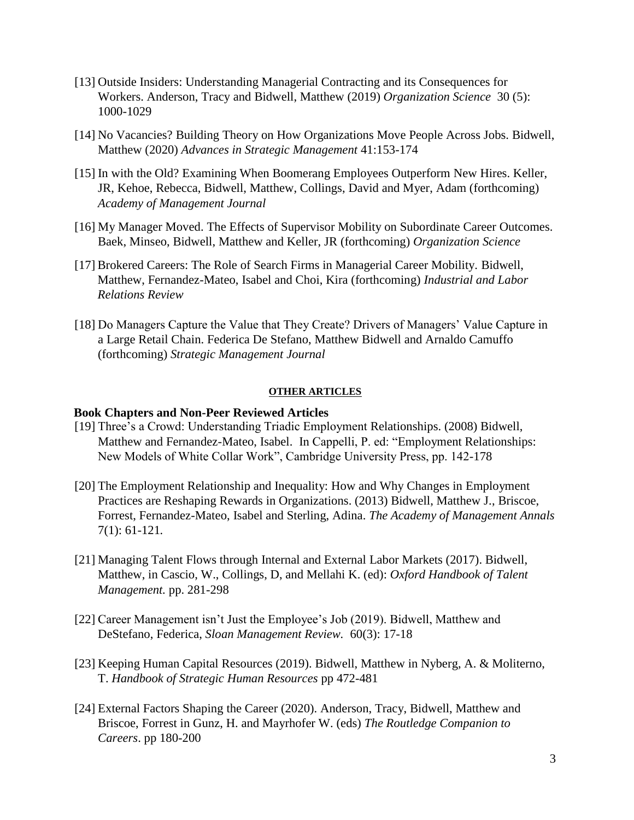- [13] Outside Insiders: Understanding Managerial Contracting and its Consequences for Workers. Anderson, Tracy and Bidwell, Matthew (2019) *Organization Science* 30 (5): 1000-1029
- [14] No Vacancies? Building Theory on How Organizations Move People Across Jobs. Bidwell, Matthew (2020) *Advances in Strategic Management* 41:153-174
- [15] In with the Old? Examining When Boomerang Employees Outperform New Hires. Keller, JR, Kehoe, Rebecca, Bidwell, Matthew, Collings, David and Myer, Adam (forthcoming) *Academy of Management Journal*
- [16] My Manager Moved. The Effects of Supervisor Mobility on Subordinate Career Outcomes. Baek, Minseo, Bidwell, Matthew and Keller, JR (forthcoming) *Organization Science*
- [17] Brokered Careers: The Role of Search Firms in Managerial Career Mobility. Bidwell, Matthew, Fernandez-Mateo, Isabel and Choi, Kira (forthcoming) *Industrial and Labor Relations Review*
- [18] Do Managers Capture the Value that They Create? Drivers of Managers' Value Capture in a Large Retail Chain. Federica De Stefano, Matthew Bidwell and Arnaldo Camuffo (forthcoming) *Strategic Management Journal*

### **OTHER ARTICLES**

### **Book Chapters and Non-Peer Reviewed Articles**

- [19] Three's a Crowd: Understanding Triadic Employment Relationships. (2008) Bidwell, Matthew and Fernandez-Mateo, Isabel. In Cappelli, P. ed: "Employment Relationships: New Models of White Collar Work", Cambridge University Press, pp. 142-178
- [20] The Employment Relationship and Inequality: How and Why Changes in Employment Practices are Reshaping Rewards in Organizations. (2013) Bidwell, Matthew J., Briscoe, Forrest, Fernandez-Mateo, Isabel and Sterling, Adina. *The Academy of Management Annals*  7(1): 61-121*.*
- [21] Managing Talent Flows through Internal and External Labor Markets (2017). Bidwell, Matthew, in Cascio, W., Collings, D, and Mellahi K. (ed): *Oxford Handbook of Talent Management.* pp. 281-298
- [22] Career Management isn't Just the Employee's Job (2019). Bidwell, Matthew and DeStefano, Federica, *Sloan Management Review.* 60(3): 17-18
- [23] Keeping Human Capital Resources (2019). Bidwell, Matthew in Nyberg, A. & Moliterno, T. *Handbook of Strategic Human Resources* pp 472-481
- [24] External Factors Shaping the Career (2020). Anderson, Tracy, Bidwell, Matthew and Briscoe, Forrest in Gunz, H. and Mayrhofer W. (eds) *The Routledge Companion to Careers*. pp 180-200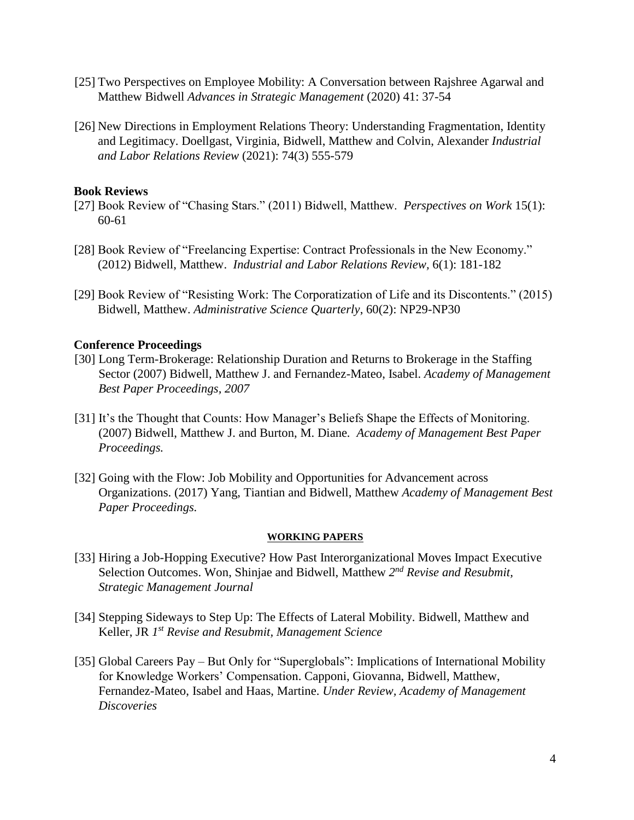- [25] Two Perspectives on Employee Mobility: A Conversation between Rajshree Agarwal and Matthew Bidwell *Advances in Strategic Management* (2020) 41: 37-54
- [26] New Directions in Employment Relations Theory: Understanding Fragmentation, Identity and Legitimacy. Doellgast, Virginia, Bidwell, Matthew and Colvin, Alexander *Industrial and Labor Relations Review* (2021): 74(3) 555-579

## **Book Reviews**

- [27] Book Review of "Chasing Stars." (2011) Bidwell, Matthew. *Perspectives on Work* 15(1): 60-61
- [28] Book Review of "Freelancing Expertise: Contract Professionals in the New Economy." (2012) Bidwell, Matthew. *Industrial and Labor Relations Review,* 6(1): 181-182
- [29] Book Review of "Resisting Work: The Corporatization of Life and its Discontents." (2015) Bidwell, Matthew. *Administrative Science Quarterly*, 60(2): NP29-NP30

## **Conference Proceedings**

- [30] Long Term-Brokerage: Relationship Duration and Returns to Brokerage in the Staffing Sector (2007) Bidwell, Matthew J. and Fernandez-Mateo, Isabel. *Academy of Management Best Paper Proceedings, 2007*
- [31] It's the Thought that Counts: How Manager's Beliefs Shape the Effects of Monitoring. (2007) Bidwell, Matthew J. and Burton, M. Diane*. Academy of Management Best Paper Proceedings.*
- [32] Going with the Flow: Job Mobility and Opportunities for Advancement across Organizations. (2017) Yang, Tiantian and Bidwell, Matthew *Academy of Management Best Paper Proceedings.*

#### **WORKING PAPERS**

- [33] Hiring a Job-Hopping Executive? How Past Interorganizational Moves Impact Executive Selection Outcomes. Won, Shinjae and Bidwell, Matthew *2 nd Revise and Resubmit, Strategic Management Journal*
- [34] Stepping Sideways to Step Up: The Effects of Lateral Mobility. Bidwell, Matthew and Keller, JR 1<sup>st</sup> Revise and Resubmit, Management Science
- [35] Global Careers Pay But Only for "Superglobals": Implications of International Mobility for Knowledge Workers' Compensation. Capponi, Giovanna, Bidwell, Matthew, Fernandez-Mateo, Isabel and Haas, Martine. *Under Review, Academy of Management Discoveries*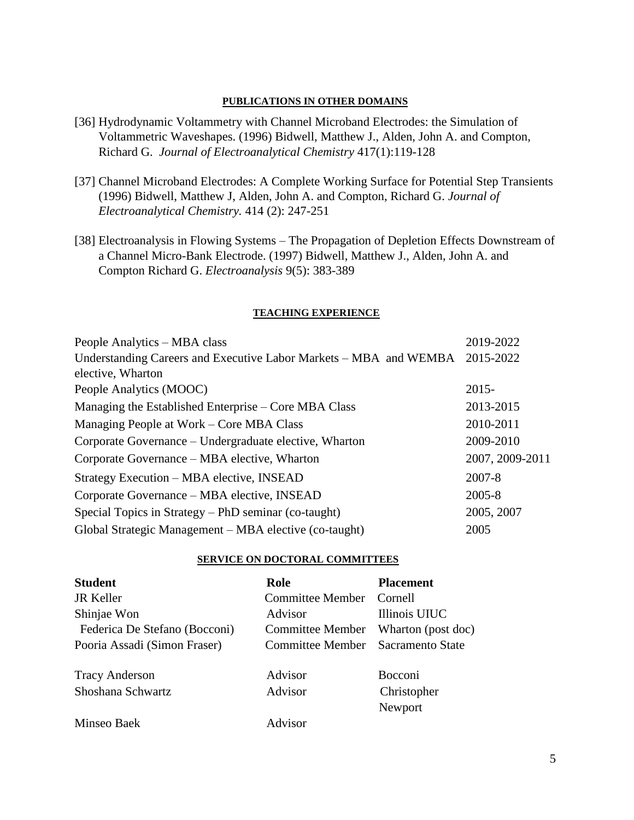### **PUBLICATIONS IN OTHER DOMAINS**

- [36] Hydrodynamic Voltammetry with Channel Microband Electrodes: the Simulation of Voltammetric Waveshapes. (1996) Bidwell, Matthew J., Alden, John A. and Compton, Richard G. *Journal of Electroanalytical Chemistry* 417(1):119-128
- [37] Channel Microband Electrodes: A Complete Working Surface for Potential Step Transients (1996) Bidwell, Matthew J, Alden, John A. and Compton, Richard G. *Journal of Electroanalytical Chemistry.* 414 (2): 247-251
- [38] Electroanalysis in Flowing Systems The Propagation of Depletion Effects Downstream of a Channel Micro-Bank Electrode. (1997) Bidwell, Matthew J., Alden, John A. and Compton Richard G. *Electroanalysis* 9(5): 383-389

### **TEACHING EXPERIENCE**

| People Analytics – MBA class                                                | 2019-2022       |  |
|-----------------------------------------------------------------------------|-----------------|--|
| Understanding Careers and Executive Labor Markets – MBA and WEMBA 2015-2022 |                 |  |
| elective, Wharton                                                           |                 |  |
| People Analytics (MOOC)                                                     | $2015 -$        |  |
| Managing the Established Enterprise – Core MBA Class                        | 2013-2015       |  |
| Managing People at Work – Core MBA Class                                    | 2010-2011       |  |
| Corporate Governance – Undergraduate elective, Wharton                      | 2009-2010       |  |
| Corporate Governance – MBA elective, Wharton                                | 2007, 2009-2011 |  |
| Strategy Execution – MBA elective, INSEAD                                   | $2007 - 8$      |  |
| Corporate Governance – MBA elective, INSEAD                                 | $2005 - 8$      |  |
| Special Topics in Strategy – PhD seminar (co-taught)                        | 2005, 2007      |  |
| Global Strategic Management – MBA elective (co-taught)                      | 2005            |  |

#### **SERVICE ON DOCTORAL COMMITTEES**

| <b>Student</b>                | Role                    | <b>Placement</b>   |
|-------------------------------|-------------------------|--------------------|
| <b>JR Keller</b>              | <b>Committee Member</b> | Cornell            |
| Shinjae Won                   | Advisor                 | Illinois UIUC      |
| Federica De Stefano (Bocconi) | <b>Committee Member</b> | Wharton (post doc) |
| Pooria Assadi (Simon Fraser)  | <b>Committee Member</b> | Sacramento State   |
| <b>Tracy Anderson</b>         | Advisor                 | <b>Bocconi</b>     |
| Shoshana Schwartz             | Advisor                 | Christopher        |
|                               |                         | Newport            |
| Minseo Baek                   | Advisor                 |                    |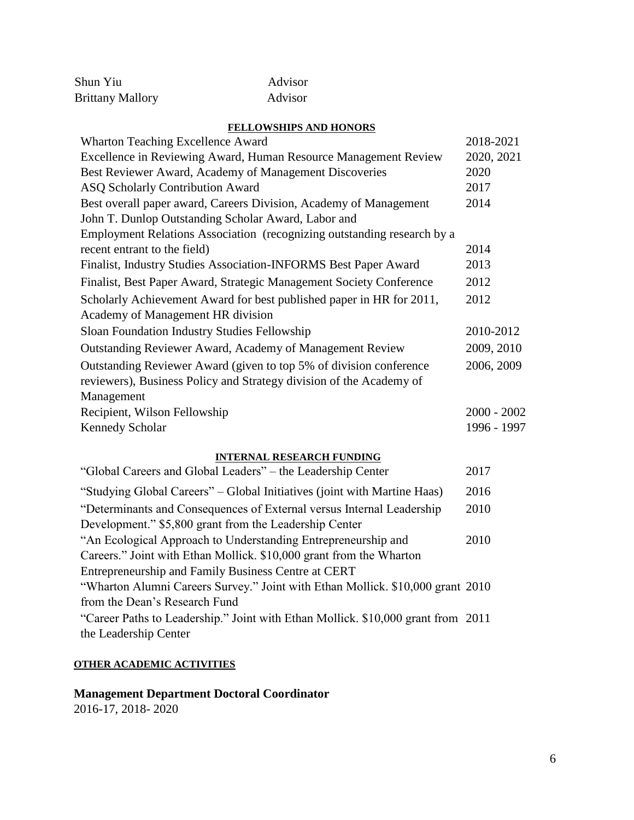| Shun Yiu                | Advisor |
|-------------------------|---------|
| <b>Brittany Mallory</b> | Advisor |

# **FELLOWSHIPS AND HONORS**

| <b>Wharton Teaching Excellence Award</b>                                       | 2018-2021     |  |  |  |
|--------------------------------------------------------------------------------|---------------|--|--|--|
| Excellence in Reviewing Award, Human Resource Management Review                | 2020, 2021    |  |  |  |
| Best Reviewer Award, Academy of Management Discoveries                         | 2020          |  |  |  |
| ASQ Scholarly Contribution Award                                               | 2017          |  |  |  |
| Best overall paper award, Careers Division, Academy of Management              | 2014          |  |  |  |
| John T. Dunlop Outstanding Scholar Award, Labor and                            |               |  |  |  |
| Employment Relations Association (recognizing outstanding research by a        |               |  |  |  |
| recent entrant to the field)                                                   | 2014          |  |  |  |
| Finalist, Industry Studies Association-INFORMS Best Paper Award                | 2013          |  |  |  |
| Finalist, Best Paper Award, Strategic Management Society Conference            | 2012          |  |  |  |
| Scholarly Achievement Award for best published paper in HR for 2011,           | 2012          |  |  |  |
| Academy of Management HR division                                              |               |  |  |  |
| Sloan Foundation Industry Studies Fellowship                                   | 2010-2012     |  |  |  |
| Outstanding Reviewer Award, Academy of Management Review                       | 2009, 2010    |  |  |  |
| Outstanding Reviewer Award (given to top 5% of division conference             |               |  |  |  |
| reviewers), Business Policy and Strategy division of the Academy of            |               |  |  |  |
| Management                                                                     |               |  |  |  |
| Recipient, Wilson Fellowship                                                   | $2000 - 2002$ |  |  |  |
| <b>Kennedy Scholar</b>                                                         | 1996 - 1997   |  |  |  |
| <b>INTERNAL RESEARCH FUNDING</b>                                               |               |  |  |  |
| "Global Careers and Global Leaders" - the Leadership Center                    | 2017          |  |  |  |
| "Studying Global Careers" - Global Initiatives (joint with Martine Haas)       | 2016          |  |  |  |
| "Determinants and Consequences of External versus Internal Leadership          | 2010          |  |  |  |
| Development." \$5,800 grant from the Leadership Center                         |               |  |  |  |
| "An Ecological Approach to Understanding Entrepreneurship and                  | 2010          |  |  |  |
| Careers." Joint with Ethan Mollick. \$10,000 grant from the Wharton            |               |  |  |  |
| Entrepreneurship and Family Business Centre at CERT                            |               |  |  |  |
| "Wharton Alumni Careers Survey." Joint with Ethan Mollick. \$10,000 grant 2010 |               |  |  |  |
| from the Dean's Research Fund                                                  |               |  |  |  |

"Career Paths to Leadership." Joint with Ethan Mollick. \$10,000 grant from 2011 the Leadership Center

# **OTHER ACADEMIC ACTIVITIES**

**Management Department Doctoral Coordinator** 

2016-17, 2018- 2020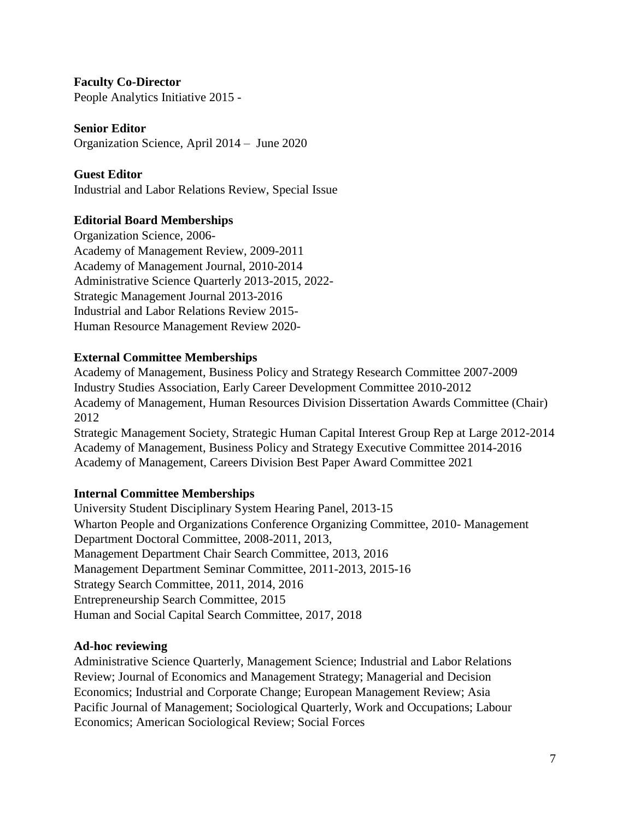**Faculty Co-Director**  People Analytics Initiative 2015 -

**Senior Editor**  Organization Science, April 2014 – June 2020

**Guest Editor**  Industrial and Labor Relations Review, Special Issue

# **Editorial Board Memberships**

Organization Science, 2006- Academy of Management Review, 2009-2011 Academy of Management Journal, 2010-2014 Administrative Science Quarterly 2013-2015, 2022- Strategic Management Journal 2013-2016 Industrial and Labor Relations Review 2015- Human Resource Management Review 2020-

# **External Committee Memberships**

Academy of Management, Business Policy and Strategy Research Committee 2007-2009 Industry Studies Association, Early Career Development Committee 2010-2012 Academy of Management, Human Resources Division Dissertation Awards Committee (Chair) 2012

Strategic Management Society, Strategic Human Capital Interest Group Rep at Large 2012-2014 Academy of Management, Business Policy and Strategy Executive Committee 2014-2016 Academy of Management, Careers Division Best Paper Award Committee 2021

# **Internal Committee Memberships**

University Student Disciplinary System Hearing Panel, 2013-15 Wharton People and Organizations Conference Organizing Committee, 2010- Management Department Doctoral Committee, 2008-2011, 2013, Management Department Chair Search Committee, 2013, 2016 Management Department Seminar Committee, 2011-2013, 2015-16 Strategy Search Committee, 2011, 2014, 2016 Entrepreneurship Search Committee, 2015 Human and Social Capital Search Committee, 2017, 2018

# **Ad-hoc reviewing**

Administrative Science Quarterly, Management Science; Industrial and Labor Relations Review; Journal of Economics and Management Strategy; Managerial and Decision Economics; Industrial and Corporate Change; European Management Review; Asia Pacific Journal of Management; Sociological Quarterly, Work and Occupations; Labour Economics; American Sociological Review; Social Forces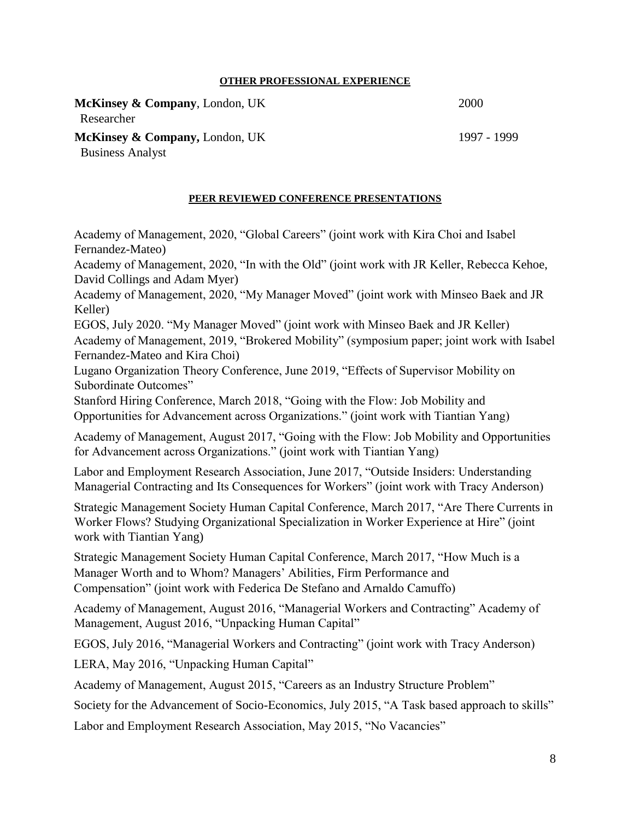### **OTHER PROFESSIONAL EXPERIENCE**

**McKinsey & Company**, London, UK 2000

Researcher

**McKinsey & Company, London, UK 1997 - 1999** 

Business Analyst

## **PEER REVIEWED CONFERENCE PRESENTATIONS**

Academy of Management, 2020, "Global Careers" (joint work with Kira Choi and Isabel Fernandez-Mateo)

Academy of Management, 2020, "In with the Old" (joint work with JR Keller, Rebecca Kehoe, David Collings and Adam Myer)

Academy of Management, 2020, "My Manager Moved" (joint work with Minseo Baek and JR Keller)

EGOS, July 2020. "My Manager Moved" (joint work with Minseo Baek and JR Keller) Academy of Management, 2019, "Brokered Mobility" (symposium paper; joint work with Isabel Fernandez-Mateo and Kira Choi)

Lugano Organization Theory Conference, June 2019, "Effects of Supervisor Mobility on Subordinate Outcomes"

Stanford Hiring Conference, March 2018, "Going with the Flow: Job Mobility and Opportunities for Advancement across Organizations." (joint work with Tiantian Yang)

Academy of Management, August 2017, "Going with the Flow: Job Mobility and Opportunities for Advancement across Organizations." (joint work with Tiantian Yang)

Labor and Employment Research Association, June 2017, "Outside Insiders: Understanding Managerial Contracting and Its Consequences for Workers" (joint work with Tracy Anderson)

Strategic Management Society Human Capital Conference, March 2017, "Are There Currents in Worker Flows? Studying Organizational Specialization in Worker Experience at Hire" (joint work with Tiantian Yang)

Strategic Management Society Human Capital Conference, March 2017, "How Much is a Manager Worth and to Whom? Managers' Abilities, Firm Performance and Compensation" (joint work with Federica De Stefano and Arnaldo Camuffo)

Academy of Management, August 2016, "Managerial Workers and Contracting" Academy of Management, August 2016, "Unpacking Human Capital"

EGOS, July 2016, "Managerial Workers and Contracting" (joint work with Tracy Anderson)

LERA, May 2016, "Unpacking Human Capital"

Academy of Management, August 2015, "Careers as an Industry Structure Problem"

Society for the Advancement of Socio-Economics, July 2015, "A Task based approach to skills"

Labor and Employment Research Association, May 2015, "No Vacancies"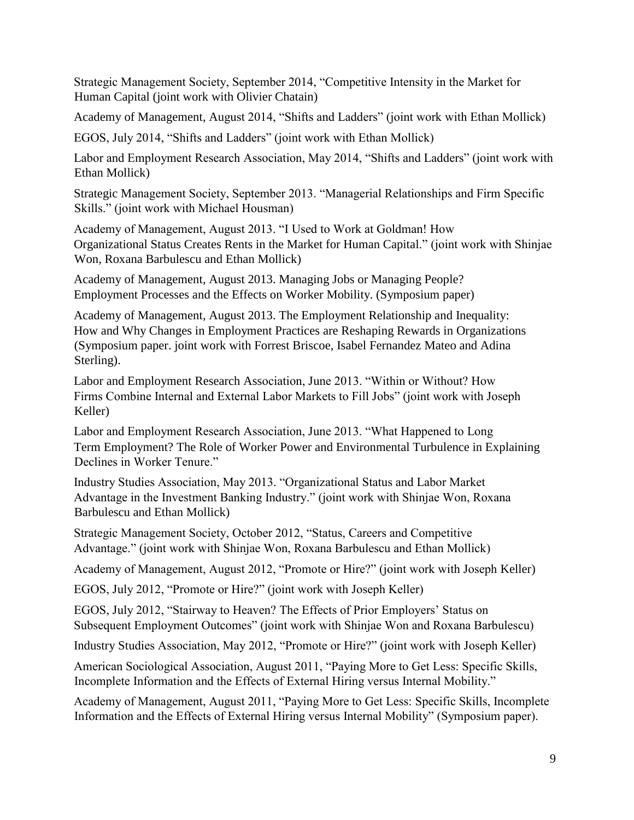Strategic Management Society, September 2014, "Competitive Intensity in the Market for Human Capital (joint work with Olivier Chatain)

Academy of Management, August 2014, "Shifts and Ladders" (joint work with Ethan Mollick)

EGOS, July 2014, "Shifts and Ladders" (joint work with Ethan Mollick)

Labor and Employment Research Association, May 2014, "Shifts and Ladders" (joint work with Ethan Mollick)

Strategic Management Society, September 2013. "Managerial Relationships and Firm Specific Skills." (joint work with Michael Housman)

Academy of Management, August 2013. "I Used to Work at Goldman! How Organizational Status Creates Rents in the Market for Human Capital." (joint work with Shinjae Won, Roxana Barbulescu and Ethan Mollick)

Academy of Management, August 2013. Managing Jobs or Managing People? Employment Processes and the Effects on Worker Mobility. (Symposium paper)

Academy of Management, August 2013. The Employment Relationship and Inequality: How and Why Changes in Employment Practices are Reshaping Rewards in Organizations (Symposium paper. joint work with Forrest Briscoe, Isabel Fernandez Mateo and Adina Sterling).

Labor and Employment Research Association, June 2013. "Within or Without? How Firms Combine Internal and External Labor Markets to Fill Jobs" (joint work with Joseph Keller)

Labor and Employment Research Association, June 2013. "What Happened to Long Term Employment? The Role of Worker Power and Environmental Turbulence in Explaining Declines in Worker Tenure."

Industry Studies Association, May 2013. "Organizational Status and Labor Market Advantage in the Investment Banking Industry." (joint work with Shinjae Won, Roxana Barbulescu and Ethan Mollick)

Strategic Management Society, October 2012, "Status, Careers and Competitive Advantage." (joint work with Shinjae Won, Roxana Barbulescu and Ethan Mollick)

Academy of Management, August 2012, "Promote or Hire?" (joint work with Joseph Keller)

EGOS, July 2012, "Promote or Hire?" (joint work with Joseph Keller)

EGOS, July 2012, "Stairway to Heaven? The Effects of Prior Employers' Status on Subsequent Employment Outcomes" (joint work with Shinjae Won and Roxana Barbulescu)

Industry Studies Association, May 2012, "Promote or Hire?" (joint work with Joseph Keller)

American Sociological Association, August 2011, "Paying More to Get Less: Specific Skills, Incomplete Information and the Effects of External Hiring versus Internal Mobility."

Academy of Management, August 2011, "Paying More to Get Less: Specific Skills, Incomplete Information and the Effects of External Hiring versus Internal Mobility" (Symposium paper).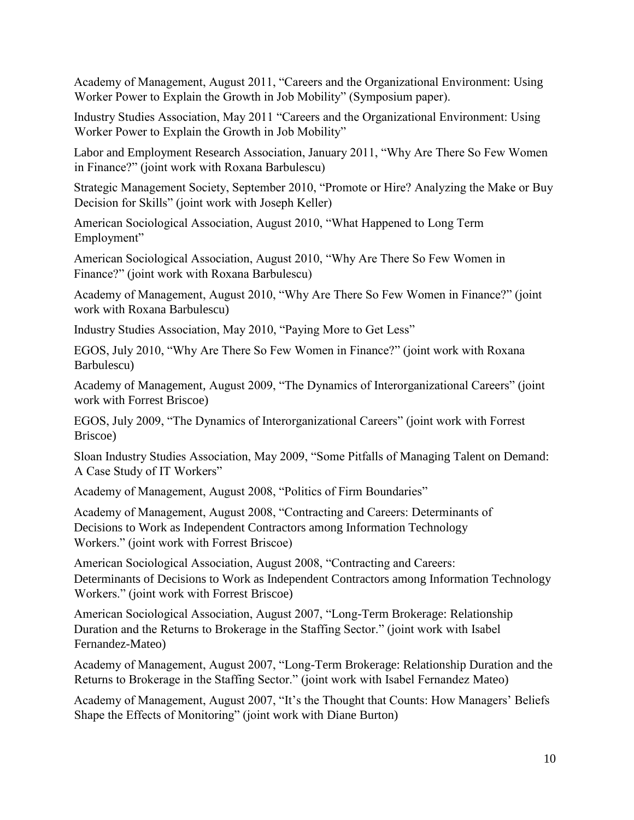Academy of Management, August 2011, "Careers and the Organizational Environment: Using Worker Power to Explain the Growth in Job Mobility" (Symposium paper).

Industry Studies Association, May 2011 "Careers and the Organizational Environment: Using Worker Power to Explain the Growth in Job Mobility"

Labor and Employment Research Association, January 2011, "Why Are There So Few Women in Finance?" (joint work with Roxana Barbulescu)

Strategic Management Society, September 2010, "Promote or Hire? Analyzing the Make or Buy Decision for Skills" (joint work with Joseph Keller)

American Sociological Association, August 2010, "What Happened to Long Term Employment"

American Sociological Association, August 2010, "Why Are There So Few Women in Finance?" (joint work with Roxana Barbulescu)

Academy of Management, August 2010, "Why Are There So Few Women in Finance?" (joint work with Roxana Barbulescu)

Industry Studies Association, May 2010, "Paying More to Get Less"

EGOS, July 2010, "Why Are There So Few Women in Finance?" (joint work with Roxana Barbulescu)

Academy of Management, August 2009, "The Dynamics of Interorganizational Careers" (joint work with Forrest Briscoe)

EGOS, July 2009, "The Dynamics of Interorganizational Careers" (joint work with Forrest Briscoe)

Sloan Industry Studies Association, May 2009, "Some Pitfalls of Managing Talent on Demand: A Case Study of IT Workers"

Academy of Management, August 2008, "Politics of Firm Boundaries"

Academy of Management, August 2008, "Contracting and Careers: Determinants of Decisions to Work as Independent Contractors among Information Technology Workers." (joint work with Forrest Briscoe)

American Sociological Association, August 2008, "Contracting and Careers: Determinants of Decisions to Work as Independent Contractors among Information Technology Workers." (joint work with Forrest Briscoe)

American Sociological Association, August 2007, "Long-Term Brokerage: Relationship Duration and the Returns to Brokerage in the Staffing Sector." (joint work with Isabel Fernandez-Mateo)

Academy of Management, August 2007, "Long-Term Brokerage: Relationship Duration and the Returns to Brokerage in the Staffing Sector." (joint work with Isabel Fernandez Mateo)

Academy of Management, August 2007, "It's the Thought that Counts: How Managers' Beliefs Shape the Effects of Monitoring" (joint work with Diane Burton)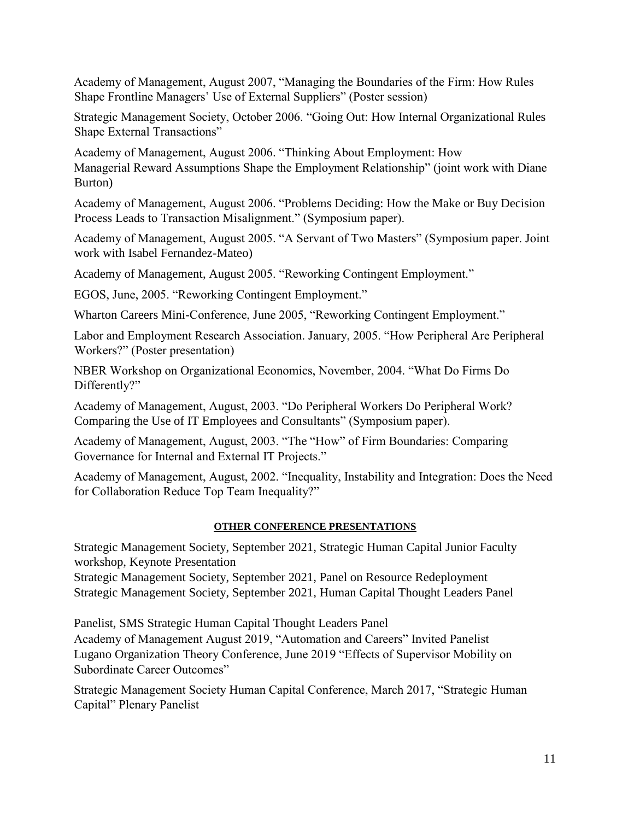Academy of Management, August 2007, "Managing the Boundaries of the Firm: How Rules Shape Frontline Managers' Use of External Suppliers" (Poster session)

Strategic Management Society, October 2006. "Going Out: How Internal Organizational Rules Shape External Transactions"

Academy of Management, August 2006. "Thinking About Employment: How Managerial Reward Assumptions Shape the Employment Relationship" (joint work with Diane Burton)

Academy of Management, August 2006. "Problems Deciding: How the Make or Buy Decision Process Leads to Transaction Misalignment." (Symposium paper).

Academy of Management, August 2005. "A Servant of Two Masters" (Symposium paper. Joint work with Isabel Fernandez-Mateo)

Academy of Management, August 2005. "Reworking Contingent Employment."

EGOS, June, 2005. "Reworking Contingent Employment."

Wharton Careers Mini-Conference, June 2005, "Reworking Contingent Employment."

Labor and Employment Research Association. January, 2005. "How Peripheral Are Peripheral Workers?" (Poster presentation)

NBER Workshop on Organizational Economics, November, 2004. "What Do Firms Do Differently?"

Academy of Management, August, 2003. "Do Peripheral Workers Do Peripheral Work? Comparing the Use of IT Employees and Consultants" (Symposium paper).

Academy of Management, August, 2003. "The "How" of Firm Boundaries: Comparing Governance for Internal and External IT Projects."

Academy of Management, August, 2002. "Inequality, Instability and Integration: Does the Need for Collaboration Reduce Top Team Inequality?"

# **OTHER CONFERENCE PRESENTATIONS**

Strategic Management Society, September 2021, Strategic Human Capital Junior Faculty workshop, Keynote Presentation

Strategic Management Society, September 2021, Panel on Resource Redeployment Strategic Management Society, September 2021, Human Capital Thought Leaders Panel

Panelist, SMS Strategic Human Capital Thought Leaders Panel Academy of Management August 2019, "Automation and Careers" Invited Panelist Lugano Organization Theory Conference, June 2019 "Effects of Supervisor Mobility on Subordinate Career Outcomes"

Strategic Management Society Human Capital Conference, March 2017, "Strategic Human Capital" Plenary Panelist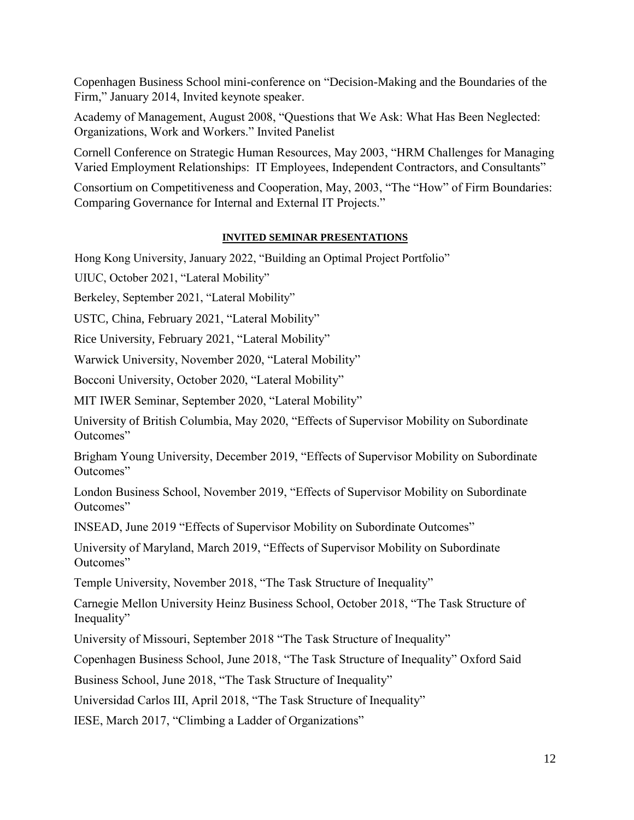Copenhagen Business School mini-conference on "Decision-Making and the Boundaries of the Firm," January 2014, Invited keynote speaker.

Academy of Management, August 2008, "Questions that We Ask: What Has Been Neglected: Organizations, Work and Workers." Invited Panelist

Cornell Conference on Strategic Human Resources, May 2003, "HRM Challenges for Managing Varied Employment Relationships: IT Employees, Independent Contractors, and Consultants"

Consortium on Competitiveness and Cooperation, May, 2003, "The "How" of Firm Boundaries: Comparing Governance for Internal and External IT Projects."

## **INVITED SEMINAR PRESENTATIONS**

Hong Kong University, January 2022, "Building an Optimal Project Portfolio"

UIUC, October 2021, "Lateral Mobility"

Berkeley, September 2021, "Lateral Mobility"

USTC, China, February 2021, "Lateral Mobility"

Rice University, February 2021, "Lateral Mobility"

Warwick University, November 2020, "Lateral Mobility"

Bocconi University, October 2020, "Lateral Mobility"

MIT IWER Seminar, September 2020, "Lateral Mobility"

University of British Columbia, May 2020, "Effects of Supervisor Mobility on Subordinate Outcomes"

Brigham Young University, December 2019, "Effects of Supervisor Mobility on Subordinate Outcomes"

London Business School, November 2019, "Effects of Supervisor Mobility on Subordinate Outcomes"

INSEAD, June 2019 "Effects of Supervisor Mobility on Subordinate Outcomes"

University of Maryland, March 2019, "Effects of Supervisor Mobility on Subordinate Outcomes"

Temple University, November 2018, "The Task Structure of Inequality"

Carnegie Mellon University Heinz Business School, October 2018, "The Task Structure of Inequality"

University of Missouri, September 2018 "The Task Structure of Inequality"

Copenhagen Business School, June 2018, "The Task Structure of Inequality" Oxford Said

Business School, June 2018, "The Task Structure of Inequality"

Universidad Carlos III, April 2018, "The Task Structure of Inequality"

IESE, March 2017, "Climbing a Ladder of Organizations"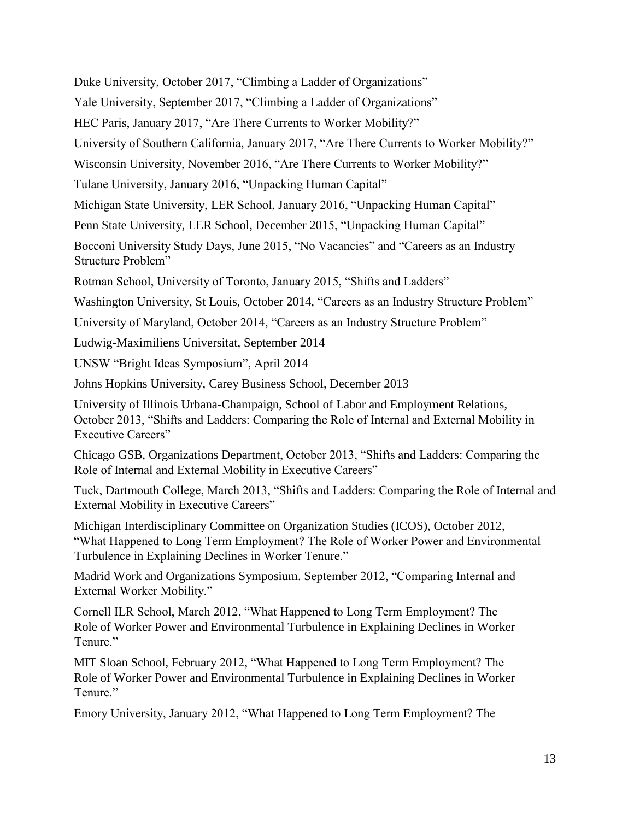Duke University, October 2017, "Climbing a Ladder of Organizations"

Yale University, September 2017, "Climbing a Ladder of Organizations"

HEC Paris, January 2017, "Are There Currents to Worker Mobility?"

University of Southern California, January 2017, "Are There Currents to Worker Mobility?"

Wisconsin University, November 2016, "Are There Currents to Worker Mobility?"

Tulane University, January 2016, "Unpacking Human Capital"

Michigan State University, LER School, January 2016, "Unpacking Human Capital"

Penn State University, LER School, December 2015, "Unpacking Human Capital"

Bocconi University Study Days, June 2015, "No Vacancies" and "Careers as an Industry Structure Problem"

Rotman School, University of Toronto, January 2015, "Shifts and Ladders"

Washington University, St Louis, October 2014, "Careers as an Industry Structure Problem"

University of Maryland, October 2014, "Careers as an Industry Structure Problem"

Ludwig-Maximiliens Universitat, September 2014

UNSW "Bright Ideas Symposium", April 2014

Johns Hopkins University, Carey Business School, December 2013

University of Illinois Urbana-Champaign, School of Labor and Employment Relations, October 2013, "Shifts and Ladders: Comparing the Role of Internal and External Mobility in Executive Careers"

Chicago GSB, Organizations Department, October 2013, "Shifts and Ladders: Comparing the Role of Internal and External Mobility in Executive Careers"

Tuck, Dartmouth College, March 2013, "Shifts and Ladders: Comparing the Role of Internal and External Mobility in Executive Careers"

Michigan Interdisciplinary Committee on Organization Studies (ICOS), October 2012, "What Happened to Long Term Employment? The Role of Worker Power and Environmental Turbulence in Explaining Declines in Worker Tenure."

Madrid Work and Organizations Symposium. September 2012, "Comparing Internal and External Worker Mobility."

Cornell ILR School, March 2012, "What Happened to Long Term Employment? The Role of Worker Power and Environmental Turbulence in Explaining Declines in Worker Tenure."

MIT Sloan School, February 2012, "What Happened to Long Term Employment? The Role of Worker Power and Environmental Turbulence in Explaining Declines in Worker Tenure."

Emory University, January 2012, "What Happened to Long Term Employment? The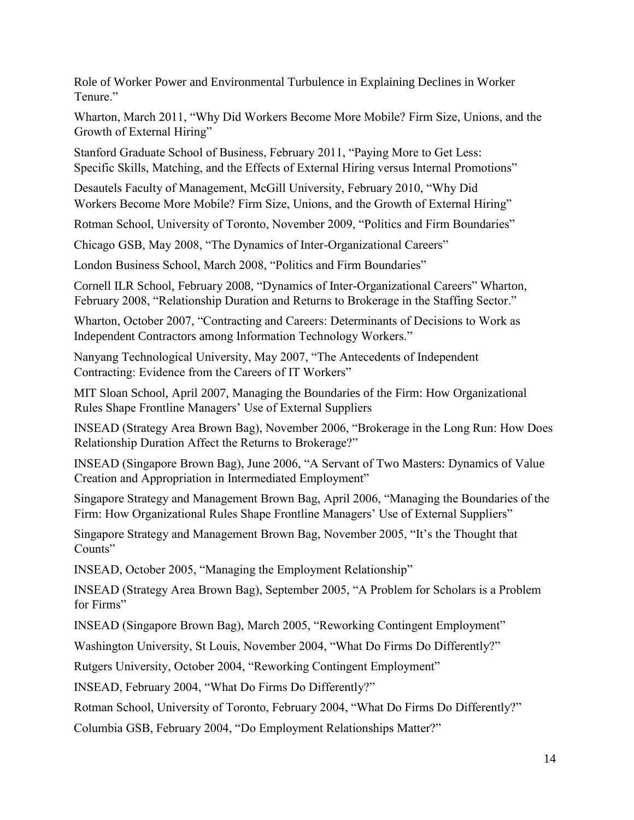Role of Worker Power and Environmental Turbulence in Explaining Declines in Worker Tenure."

Wharton, March 2011, "Why Did Workers Become More Mobile? Firm Size, Unions, and the Growth of External Hiring"

Stanford Graduate School of Business, February 2011, "Paying More to Get Less: Specific Skills, Matching, and the Effects of External Hiring versus Internal Promotions"

Desautels Faculty of Management, McGill University, February 2010, "Why Did Workers Become More Mobile? Firm Size, Unions, and the Growth of External Hiring"

Rotman School, University of Toronto, November 2009, "Politics and Firm Boundaries"

Chicago GSB, May 2008, "The Dynamics of Inter-Organizational Careers"

London Business School, March 2008, "Politics and Firm Boundaries"

Cornell ILR School, February 2008, "Dynamics of Inter-Organizational Careers" Wharton, February 2008, "Relationship Duration and Returns to Brokerage in the Staffing Sector."

Wharton, October 2007, "Contracting and Careers: Determinants of Decisions to Work as Independent Contractors among Information Technology Workers."

Nanyang Technological University, May 2007, "The Antecedents of Independent Contracting: Evidence from the Careers of IT Workers"

MIT Sloan School, April 2007, Managing the Boundaries of the Firm: How Organizational Rules Shape Frontline Managers' Use of External Suppliers

INSEAD (Strategy Area Brown Bag), November 2006, "Brokerage in the Long Run: How Does Relationship Duration Affect the Returns to Brokerage?"

INSEAD (Singapore Brown Bag), June 2006, "A Servant of Two Masters: Dynamics of Value Creation and Appropriation in Intermediated Employment"

Singapore Strategy and Management Brown Bag, April 2006, "Managing the Boundaries of the Firm: How Organizational Rules Shape Frontline Managers' Use of External Suppliers"

Singapore Strategy and Management Brown Bag, November 2005, "It's the Thought that Counts"

INSEAD, October 2005, "Managing the Employment Relationship"

INSEAD (Strategy Area Brown Bag), September 2005, "A Problem for Scholars is a Problem for Firms"

INSEAD (Singapore Brown Bag), March 2005, "Reworking Contingent Employment"

Washington University, St Louis, November 2004, "What Do Firms Do Differently?"

Rutgers University, October 2004, "Reworking Contingent Employment"

INSEAD, February 2004, "What Do Firms Do Differently?"

Rotman School, University of Toronto, February 2004, "What Do Firms Do Differently?"

Columbia GSB, February 2004, "Do Employment Relationships Matter?"